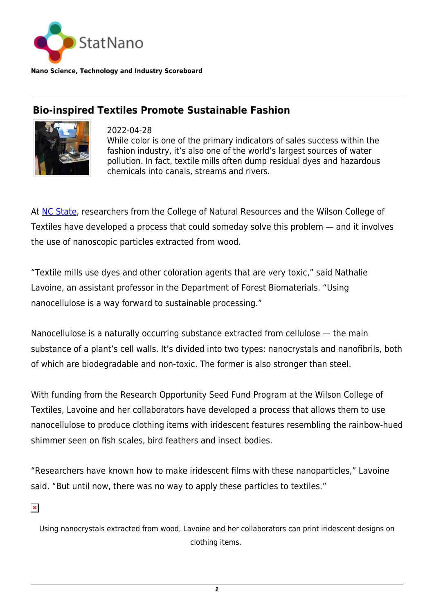

**Nano Science, Technology and Industry Scoreboard**

## **Bio-inspired Textiles Promote Sustainable Fashion**



2022-04-28 While color is one of the primary indicators of sales success within the fashion industry, it's also one of the world's largest sources of water pollution. In fact, textile mills often dump residual dyes and hazardous chemicals into canals, streams and rivers.

At [NC State](https://statnano.com/org/North-Carolina-State-University), researchers from the College of Natural Resources and the Wilson College of Textiles have developed a process that could someday solve this problem — and it involves the use of nanoscopic particles extracted from wood.

"Textile mills use dyes and other coloration agents that are very toxic," said Nathalie Lavoine, an assistant professor in the Department of Forest Biomaterials. "Using nanocellulose is a way forward to sustainable processing."

Nanocellulose is a naturally occurring substance extracted from cellulose — the main substance of a plant's cell walls. It's divided into two types: nanocrystals and nanofibrils, both of which are biodegradable and non-toxic. The former is also stronger than steel.

With funding from the Research Opportunity Seed Fund Program at the Wilson College of Textiles, Lavoine and her collaborators have developed a process that allows them to use nanocellulose to produce clothing items with iridescent features resembling the rainbow-hued shimmer seen on fish scales, bird feathers and insect bodies.

"Researchers have known how to make iridescent films with these nanoparticles," Lavoine said. "But until now, there was no way to apply these particles to textiles."

 $\pmb{\times}$ 

Using nanocrystals extracted from wood, Lavoine and her collaborators can print iridescent designs on clothing items.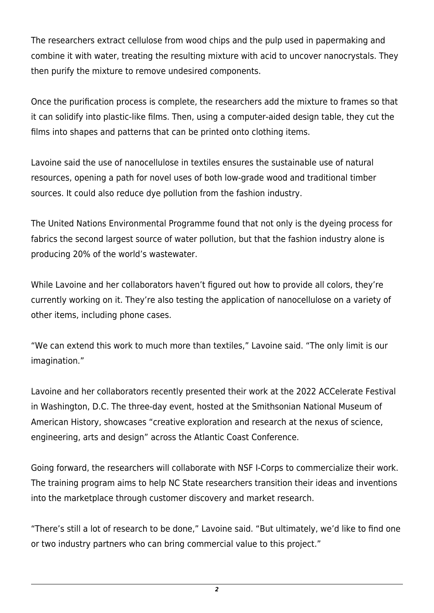The researchers extract cellulose from wood chips and the pulp used in papermaking and combine it with water, treating the resulting mixture with acid to uncover nanocrystals. They then purify the mixture to remove undesired components.

Once the purification process is complete, the researchers add the mixture to frames so that it can solidify into plastic-like films. Then, using a computer-aided design table, they cut the films into shapes and patterns that can be printed onto clothing items.

Lavoine said the use of nanocellulose in textiles ensures the sustainable use of natural resources, opening a path for novel uses of both low-grade wood and traditional timber sources. It could also reduce dye pollution from the fashion industry.

The United Nations Environmental Programme found that not only is the dyeing process for fabrics the second largest source of water pollution, but that the fashion industry alone is producing 20% of the world's wastewater.

While Lavoine and her collaborators haven't figured out how to provide all colors, they're currently working on it. They're also testing the application of nanocellulose on a variety of other items, including phone cases.

"We can extend this work to much more than textiles," Lavoine said. "The only limit is our imagination."

Lavoine and her collaborators recently presented their work at the 2022 ACCelerate Festival in Washington, D.C. The three-day event, hosted at the Smithsonian National Museum of American History, showcases "creative exploration and research at the nexus of science, engineering, arts and design" across the Atlantic Coast Conference.

Going forward, the researchers will collaborate with NSF I-Corps to commercialize their work. The training program aims to help NC State researchers transition their ideas and inventions into the marketplace through customer discovery and market research.

"There's still a lot of research to be done," Lavoine said. "But ultimately, we'd like to find one or two industry partners who can bring commercial value to this project."

*2*